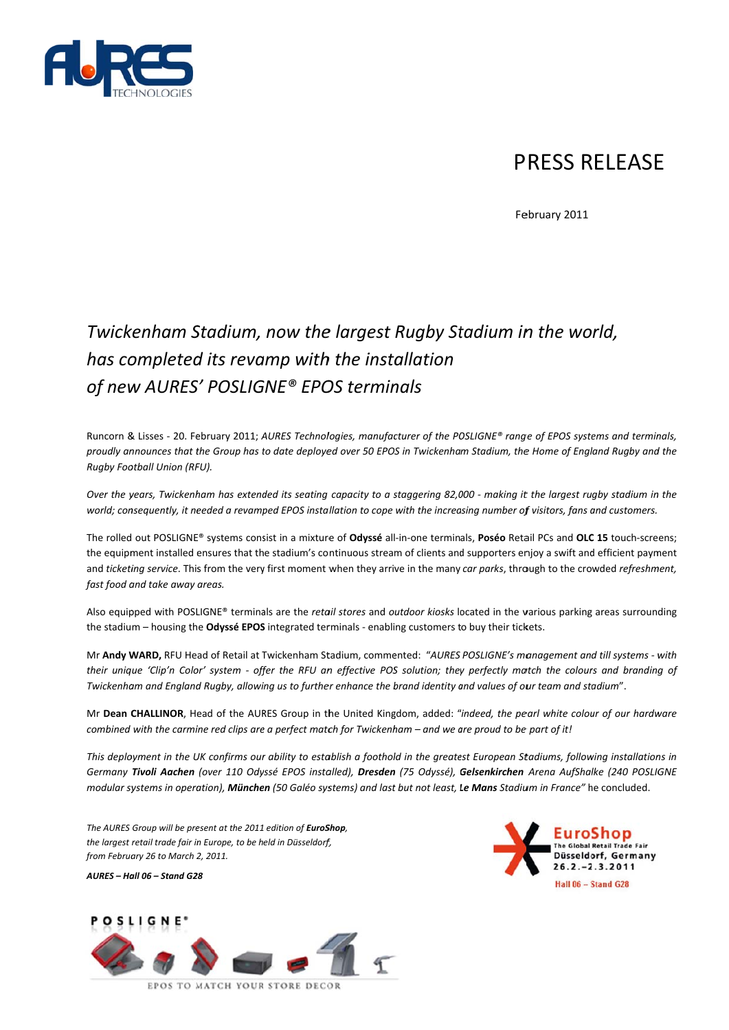

# **PRESS RELEASE**

February 2011

# Twickenham Stadium, now the largest Rugby Stadium in the world, has completed its revamp with the installation of new AURES' POSLIGNE® EPOS terminals

Runcorn & Lisses - 20. February 2011; AURES Technologies, manufacturer of the POSLIGNE® range of EPOS systems and terminals, proudly announces that the Group has to date deployed over 50 EPOS in Twickenham Stadium, the Home of England Rugby and the Rugby Football Union (RFU).

Over the vears. Twickenham has extended its seating capacity to a staggering 82.000 - making it the largest rugby stadium in the world; consequently, it needed a revamped EPOS installation to cope with the increasing number of visitors, fans and customers.

The rolled out POSLIGNE® systems consist in a mixture of Odyssé all-in-one terminals, Poséo Retail PCs and OLC 15 touch-screens; the equipment installed ensures that the stadium's continuous stream of clients and supporters enjoy a swift and efficient payment and ticketing service. This from the very first moment when they arrive in the many car parks, through to the crowded refreshment, fast food and take away areas.

Also equipped with POSLIGNE® terminals are the retail stores and outdoor kiosks located in the various parking areas surrounding the stadium - housing the Odyssé EPOS integrated terminals - enabling customers to buy their tickets.

Mr Andy WARD, RFU Head of Retail at Twickenham Stadium, commented: "AURES POSLIGNE's management and till systems - with their unique 'Clip'n Color' system - offer the RFU an effective POS solution; they perfectly match the colours and branding of Twickenham and England Rugby, allowing us to further enhance the brand identity and values of our team and stadium".

Mr Dean CHALLINOR, Head of the AURES Group in the United Kingdom, added: "indeed, the pearl white colour of our hardware combined with the carmine red clips are a perfect match for Twickenham - and we are proud to be part of it!

This deployment in the UK confirms our ability to establish a foothold in the greatest European Stadiums, following installations in Germany Tivoli Aachen (over 110 Odyssé EPOS installed), Dresden (75 Odyssé), Gelsenkirchen Arena AufShalke (240 POSLIGNE modular systems in operation), München (50 Galéo systems) and last but not least, Le Mans Stadium in France" he concluded.

The AURES Group will be present at the 2011 edition of EuroShop, the largest retail trade fair in Europe, to be held in Düsseldorf, from February 26 to March 2, 2011.

AURES - Hall 06 - Stand G28